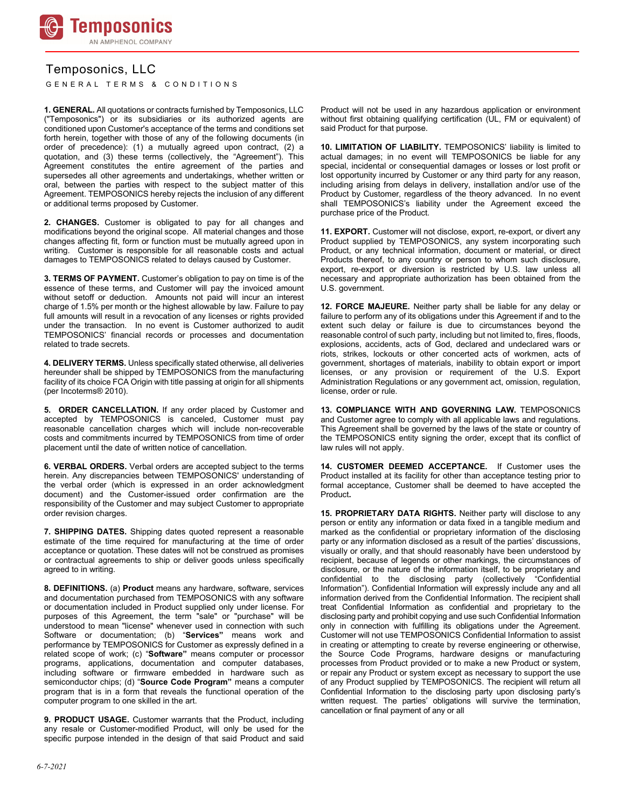

## Temposonics, LLC

GENERAL TERMS & CONDITIONS

**1. GENERAL.** All quotations or contracts furnished by Temposonics, LLC ("Temposonics") or its subsidiaries or its authorized agents are conditioned upon Customer's acceptance of the terms and conditions set forth herein, together with those of any of the following documents (in order of precedence): (1) a mutually agreed upon contract, (2) a quotation, and (3) these terms (collectively, the "Agreement"). This Agreement constitutes the entire agreement of the parties and supersedes all other agreements and undertakings, whether written or oral, between the parties with respect to the subject matter of this Agreement. TEMPOSONICS hereby rejects the inclusion of any different or additional terms proposed by Customer.

**2. CHANGES.** Customer is obligated to pay for all changes and modifications beyond the original scope. All material changes and those changes affecting fit, form or function must be mutually agreed upon in writing. Customer is responsible for all reasonable costs and actual damages to TEMPOSONICS related to delays caused by Customer.

**3. TERMS OF PAYMENT.** Customer's obligation to pay on time is of the essence of these terms, and Customer will pay the invoiced amount without setoff or deduction. Amounts not paid will incur an interest charge of 1.5% per month or the highest allowable by law. Failure to pay full amounts will result in a revocation of any licenses or rights provided under the transaction. In no event is Customer authorized to audit TEMPOSONICS' financial records or processes and documentation related to trade secrets.

**4. DELIVERY TERMS.** Unless specifically stated otherwise, all deliveries hereunder shall be shipped by TEMPOSONICS from the manufacturing facility of its choice FCA Origin with title passing at origin for all shipments (per Incoterms® 2010).

**5. ORDER CANCELLATION.** If any order placed by Customer and accepted by TEMPOSONICS is canceled, Customer must pay reasonable cancellation charges which will include non-recoverable costs and commitments incurred by TEMPOSONICS from time of order placement until the date of written notice of cancellation.

**6. VERBAL ORDERS.** Verbal orders are accepted subject to the terms herein. Any discrepancies between TEMPOSONICS' understanding of the verbal order (which is expressed in an order acknowledgment document) and the Customer-issued order confirmation are the responsibility of the Customer and may subject Customer to appropriate order revision charges.

**7. SHIPPING DATES.** Shipping dates quoted represent a reasonable estimate of the time required for manufacturing at the time of order acceptance or quotation. These dates will not be construed as promises or contractual agreements to ship or deliver goods unless specifically agreed to in writing.

**8. DEFINITIONS.** (a) **Product** means any hardware, software, services and documentation purchased from TEMPOSONICS with any software or documentation included in Product supplied only under license. For purposes of this Agreement, the term "sale" or "purchase" will be understood to mean "license" whenever used in connection with such Software or documentation; (b) "**Services"** means work and performance by TEMPOSONICS for Customer as expressly defined in a related scope of work; (c) "**Software"** means computer or processor programs, applications, documentation and computer databases, including software or firmware embedded in hardware such as semiconductor chips; (d) "**Source Code Program"** means a computer program that is in a form that reveals the functional operation of the computer program to one skilled in the art.

**9. PRODUCT USAGE.** Customer warrants that the Product, including any resale or Customer-modified Product, will only be used for the specific purpose intended in the design of that said Product and said **10. LIMITATION OF LIABILITY.** TEMPOSONICS' liability is limited to actual damages; in no event will TEMPOSONICS be liable for any special, incidental or consequential damages or losses or lost profit or lost opportunity incurred by Customer or any third party for any reason, including arising from delays in delivery, installation and/or use of the Product by Customer, regardless of the theory advanced. In no event shall TEMPOSONICS's liability under the Agreement exceed the purchase price of the Product.

**11. EXPORT.** Customer will not disclose, export, re-export, or divert any Product supplied by TEMPOSONICS, any system incorporating such Product, or any technical information, document or material, or direct Products thereof, to any country or person to whom such disclosure, export, re-export or diversion is restricted by U.S. law unless all necessary and appropriate authorization has been obtained from the U.S. government.

**12. FORCE MAJEURE.** Neither party shall be liable for any delay or failure to perform any of its obligations under this Agreement if and to the extent such delay or failure is due to circumstances beyond the reasonable control of such party, including but not limited to, fires, floods, explosions, accidents, acts of God, declared and undeclared wars or riots, strikes, lockouts or other concerted acts of workmen, acts of government, shortages of materials, inability to obtain export or import licenses, or any provision or requirement of the U.S. Export Administration Regulations or any government act, omission, regulation, license, order or rule.

**13. COMPLIANCE WITH AND GOVERNING LAW.** TEMPOSONICS and Customer agree to comply with all applicable laws and regulations. This Agreement shall be governed by the laws of the state or country of the TEMPOSONICS entity signing the order, except that its conflict of law rules will not apply.

**14. CUSTOMER DEEMED ACCEPTANCE.** If Customer uses the Product installed at its facility for other than acceptance testing prior to formal acceptance, Customer shall be deemed to have accepted the Product**.**

**15. PROPRIETARY DATA RIGHTS.** Neither party will disclose to any person or entity any information or data fixed in a tangible medium and marked as the confidential or proprietary information of the disclosing party or any information disclosed as a result of the parties' discussions, visually or orally, and that should reasonably have been understood by recipient, because of legends or other markings, the circumstances of disclosure, or the nature of the information itself, to be proprietary and confidential to the disclosing party (collectively "Confidential Information"). Confidential Information will expressly include any and all information derived from the Confidential Information. The recipient shall treat Confidential Information as confidential and proprietary to the disclosing party and prohibit copying and use such Confidential Information only in connection with fulfilling its obligations under the Agreement. Customer will not use TEMPOSONICS Confidential Information to assist in creating or attempting to create by reverse engineering or otherwise, the Source Code Programs, hardware designs or manufacturing processes from Product provided or to make a new Product or system, or repair any Product or system except as necessary to support the use of any Product supplied by TEMPOSONICS. The recipient will return all Confidential Information to the disclosing party upon disclosing party's written request. The parties' obligations will survive the termination, cancellation or final payment of any or all